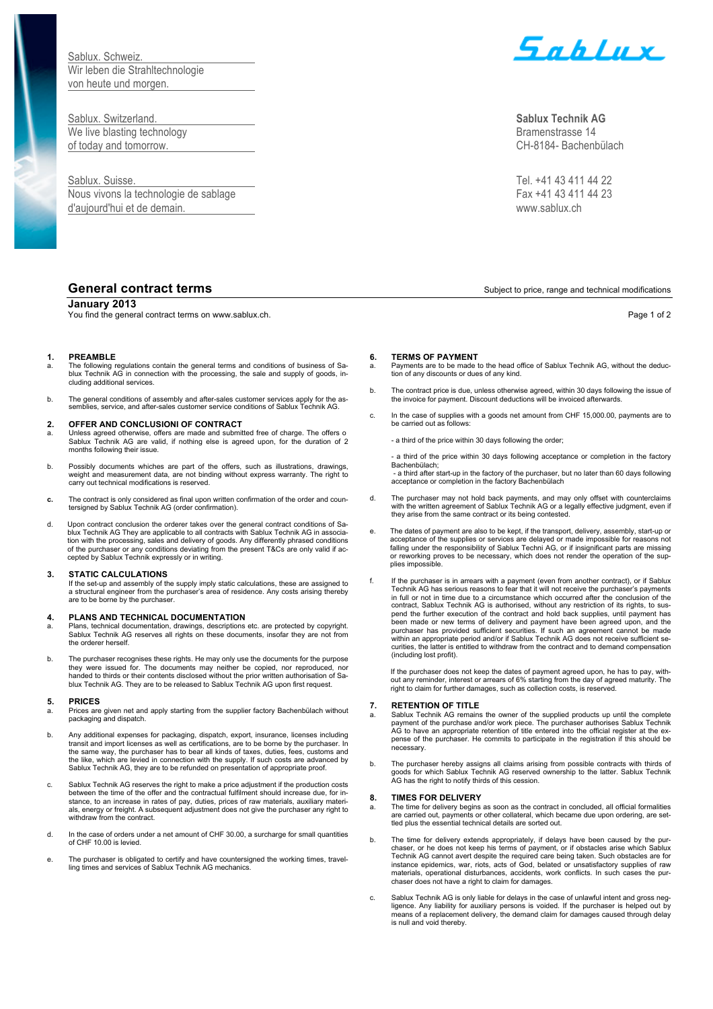Sablux. Schweiz. Wir leben die Strahltechnologie von heute und morgen.

Sablux. Switzerland. **Sablux Technik AG** We live blasting technology and the state of the state of the state of the Bramenstrasse 14 of today and tomorrow. CH-8184- Bachenbülach

Nous vivons la technologie de sablage Fax +41 43 411 44 23 d'aujourd'hui et de demain. www.sablux.ch

## **January 2013**

You find the general contract terms on www.sablux.ch. Page 1 of 2

## **1. PREAMBLE**

- a. The following regulations contain the general terms and conditions of business of Sa-blux Technik AG in connection with the processing, the sale and supply of goods, including additional services.
- b. The general conditions of assembly and after-sales customer services apply for the as-semblies, service, and after-sales customer service conditions of Sablux Technik AG.

## **2. OFFER AND CONCLUSIONI OF CONTRACT**

- a. Unless agreed otherwise, offers are made and submitted free of charge. The offers o<br>Sablux Technik AG are valid, if nothing else is agreed upon, for the duration of 2 months following their issue.
- b. Possibly documents whiches are part of the offers, such as illustrations, drawings, weight and measurement data, are not binding without express warranty. The right to carry out technical modifications is reserved.
- **c.** The contract is only considered as final upon written confirmation of the order and coun-tersigned by Sablux Technik AG (order confirmation).
- d. Upon contract conclusion the orderer takes over the general contract conditions of Sa-blux Technik AG They are applicable to all contracts with Sablux Technik AG in association with the processing, sales and delivery of goods. Any differently phrased conditions of the purchaser or any conditions deviating from the present T&Cs are only valid if accepted by Sablux Technik expressly or in writing.

## **3. STATIC CALCULATIONS**

If the set-up and assembly of the supply imply static calculations, these are assigned to a structural engineer from the purchaser's area of residence. Any costs arising thereby are to be borne by the purchaser.

## **4. PLANS AND TECHNICAL DOCUMENTATION**

- a. Plans, technical documentation, drawings, descriptions etc. are protected by copyright. Sablux Technik AG reserves all rights on these documents, insofar they are not from the orderer herself.
- b. The purchaser recognises these rights. He may only use the documents for the purpose they were issued for. The documents may neither be copied, nor reproduced, nor handed to thirds or their contents disclosed without the prior written authorisation of Sablux Technik AG. They are to be released to Sablux Technik AG upon first request.

### **5. PRICES**

- a. Prices are given net and apply starting from the supplier factory Bachenbülach without packaging and dispatch.
- b. Any additional expenses for packaging, dispatch, export, insurance, licenses including transit and import licenses as well as certifications, are to be borne by the purchaser. In the same way, the purchaser has to bear all kinds of taxes, duties, fees, customs and the like, which are levied in connection with the supply. If such costs are advanced by Sablux Technik AG, they are to be refunded on presentation of appropriate proof.
- c. Sablux Technik AG reserves the right to make a price adjustment if the production costs between the time of the offer and the contractual fulfilment should increase due, for instance, to an increase in rates of pay, duties, prices of raw materials, auxiliary materials, energy or freight. A subsequent adjustment does not give the purchaser any right to withdraw from the contract.
- d. In the case of orders under a net amount of CHF 30.00, a surcharge for small quantities of CHF 10.00 is levied.
- e. The purchaser is obligated to certify and have countersigned the working times, travelling times and services of Sablux Technik AG mechanics.



Sablux. Suisse. Tel. +41 43 411 44 22

## **General contract terms**  $\sum_{n=1}^{\infty}$  Subject to price, range and technical modifications

## **6. TERMS OF PAYMENT**

- a. Payments are to be made to the head office of Sablux Technik AG, without the deduc-tion of any discounts or dues of any kind.
- b. The contract price is due, unless otherwise agreed, within 30 days following the issue of the invoice for payment. Discount deductions will be invoiced afterwards.
- c. In the case of supplies with a goods net amount from CHF 15,000.00, payments are to be carried out as follows:
	- a third of the price within 30 days following the order;

- a third of the price within 30 days following acceptance or completion in the factory Bachenbülach;

- a third after start-up in the factory of the purchaser, but no later than 60 days following acceptance or completion in the factory Bachenbülach

- d. The purchaser may not hold back payments, and may only offset with counterclaims with the written agreement of Sablux Technik AG or a legally effective judgment, even if they arise from the same contract or its being contested.
- The dates of payment are also to be kept, if the transport, delivery, assembly, start-up or acceptance of the supplies or services are delayed or made impossible for reasons not falling under the responsibility of Sablux Techni AG, or if insignificant parts are missing or reworking proves to be necessary, which does not render the operation of the supplies impossible.
- f. If the purchaser is in arrears with a payment (even from another contract), or if Sablux Technik AG has serious reasons to fear that it will not receive the purchaser's payments in full or not in time due to a circumstance which occurred after the conclusion of the contract, Sablux Technik AG is authorised, without any restriction of its rights, to suspend the further execution of the contract and hold back supplies, until payment has been made or new terms of delivery and payment have been agreed upon, and the purchaser has provided sufficient securities. If such an agreement cannot be made within an appropriate period and/or if Sablux Technik AG does not receive sufficient securities, the latter is entitled to withdraw from the contract and to demand compensation (including lost profit).

If the purchaser does not keep the dates of payment agreed upon, he has to pay, without any reminder, interest or arrears of 6% starting from the day of agreed maturity. The right to claim for further damages, such as collection costs, is reserved.

## **7. RETENTION OF TITLE**

- a. Sablux Technik AG remains the owner of the supplied products up until the complete payment of the purchase and/or work piece. The purchaser authorises Sablux Technik AG to have an appropriate retention of title entered into the official register at the expense of the purchaser. He commits to participate in the registration if this should be necessary.
- b. The purchaser hereby assigns all claims arising from possible contracts with thirds of goods for which Sablux Technik AG reserved ownership to the latter. Sablux Technik AG has the right to notify thirds of this cession.

## **8. TIMES FOR DELIVERY**

The time for delivery begins as soon as the contract in concluded, all official formalities are carried out, payments or other collateral, which became due upon ordering, are settled plus the essential technical details are sorted out.

- b. The time for delivery extends appropriately, if delays have been caused by the pur-chaser, or he does not keep his terms of payment, or if obstacles arise which Sablux Technik AG cannot avert despite the required care being taken. Such obstacles are for instance epidemics, war, riots, acts of God, belated or unsatisfactory supplies of raw materials, operational disturbances, accidents, work conflicts. In such cases the purchaser does not have a right to claim for damages.
- c. Sablux Technik AG is only liable for delays in the case of unlawful intent and gross neg-<br>ligence. Any liability for auxiliary persons is voided. If the purchaser is helped out by<br>means of a replacement delivery, the de is null and void thereby.